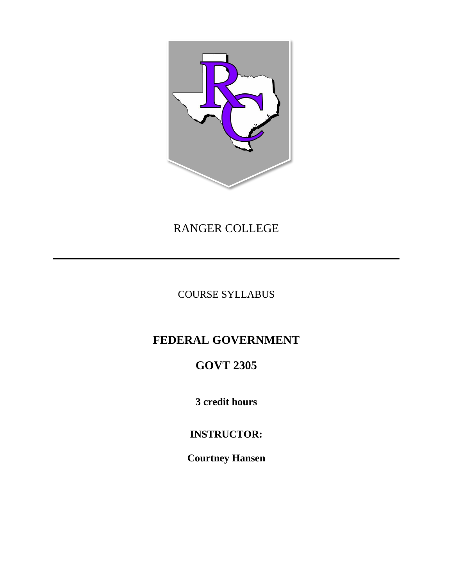

# RANGER COLLEGE

COURSE SYLLABUS

# **FEDERAL GOVERNMENT**

# **GOVT 2305**

**3 credit hours**

**INSTRUCTOR:**

**Courtney Hansen**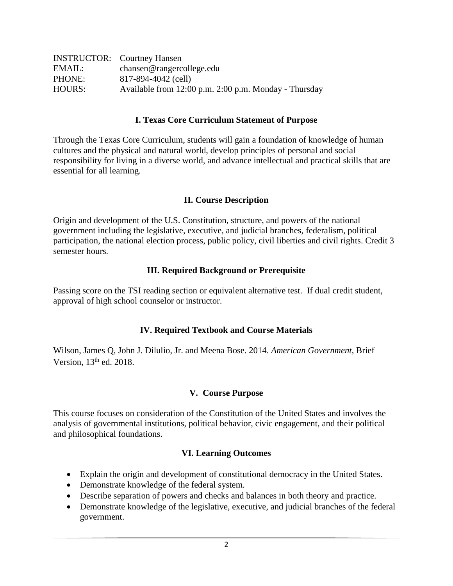|        | <b>INSTRUCTOR:</b> Courtney Hansen                    |
|--------|-------------------------------------------------------|
| EMAIL: | chansen@rangercollege.edu                             |
| PHONE: | 817-894-4042 (cell)                                   |
| HOURS: | Available from 12:00 p.m. 2:00 p.m. Monday - Thursday |

## **I. Texas Core Curriculum Statement of Purpose**

Through the Texas Core Curriculum, students will gain a foundation of knowledge of human cultures and the physical and natural world, develop principles of personal and social responsibility for living in a diverse world, and advance intellectual and practical skills that are essential for all learning.

#### **II. Course Description**

Origin and development of the U.S. Constitution, structure, and powers of the national government including the legislative, executive, and judicial branches, federalism, political participation, the national election process, public policy, civil liberties and civil rights. Credit 3 semester hours.

#### **III. Required Background or Prerequisite**

Passing score on the TSI reading section or equivalent alternative test. If dual credit student, approval of high school counselor or instructor.

## **IV. Required Textbook and Course Materials**

Wilson, James Q, John J. Dilulio, Jr. and Meena Bose. 2014. *American Government*, Brief Version,  $13<sup>th</sup>$  ed. 2018.

#### **V. Course Purpose**

This course focuses on consideration of the Constitution of the United States and involves the analysis of governmental institutions, political behavior, civic engagement, and their political and philosophical foundations.

#### **VI. Learning Outcomes**

- Explain the origin and development of constitutional democracy in the United States.
- Demonstrate knowledge of the federal system.
- Describe separation of powers and checks and balances in both theory and practice.
- Demonstrate knowledge of the legislative, executive, and judicial branches of the federal government.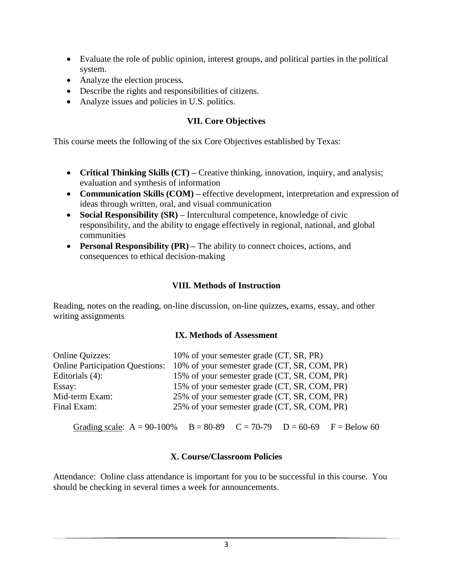- Evaluate the role of public opinion, interest groups, and political parties in the political system.
- Analyze the election process.
- Describe the rights and responsibilities of citizens.
- Analyze issues and policies in U.S. politics.

# **VII. Core Objectives**

This course meets the following of the six Core Objectives established by Texas:

- **Critical Thinking Skills (CT)** Creative thinking, innovation, inquiry, and analysis; evaluation and synthesis of information
- **Communication Skills (COM)** effective development, interpretation and expression of ideas through written, oral, and visual communication
- **Social Responsibility (SR)** Intercultural competence, knowledge of civic responsibility, and the ability to engage effectively in regional, national, and global communities
- **Personal Responsibility (PR)** The ability to connect choices, actions, and consequences to ethical decision-making

# **VIII. Methods of Instruction**

Reading, notes on the reading, on-line discussion, on-line quizzes, exams, essay, and other writing assignments

## **IX. Methods of Assessment**

| <b>Online Quizzes:</b>                 | 10% of your semester grade (CT, SR, PR)            |  |  |
|----------------------------------------|----------------------------------------------------|--|--|
| <b>Online Participation Questions:</b> | 10% of your semester grade (CT, SR, COM, PR)       |  |  |
| Editorials $(4)$ :                     | 15% of your semester grade (CT, SR, COM, PR)       |  |  |
| Essay:                                 | 15% of your semester grade (CT, SR, COM, PR)       |  |  |
| Mid-term Exam:                         | 25% of your semester grade (CT, SR, COM, PR)       |  |  |
| Final Exam:                            | 25% of your semester grade (CT, SR, COM, PR)       |  |  |
| Grading scale: $A = 90-100\%$          | $B = 80-89$ $C = 70-79$ $D = 60-69$ $F = Below 60$ |  |  |

# **X. Course/Classroom Policies**

Attendance: Online class attendance is important for you to be successful in this course. You should be checking in several times a week for announcements.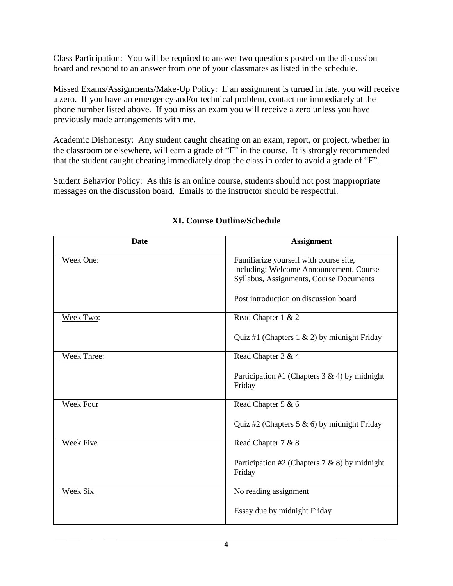Class Participation: You will be required to answer two questions posted on the discussion board and respond to an answer from one of your classmates as listed in the schedule.

Missed Exams/Assignments/Make-Up Policy: If an assignment is turned in late, you will receive a zero. If you have an emergency and/or technical problem, contact me immediately at the phone number listed above. If you miss an exam you will receive a zero unless you have previously made arrangements with me.

Academic Dishonesty: Any student caught cheating on an exam, report, or project, whether in the classroom or elsewhere, will earn a grade of "F" in the course. It is strongly recommended that the student caught cheating immediately drop the class in order to avoid a grade of "F".

Student Behavior Policy: As this is an online course, students should not post inappropriate messages on the discussion board. Emails to the instructor should be respectful.

| <b>Date</b>        | <b>Assignment</b>                                                                                                                                                     |
|--------------------|-----------------------------------------------------------------------------------------------------------------------------------------------------------------------|
| Week One:          | Familiarize yourself with course site,<br>including: Welcome Announcement, Course<br>Syllabus, Assignments, Course Documents<br>Post introduction on discussion board |
| Week Two:          | Read Chapter 1 & 2                                                                                                                                                    |
|                    | Quiz #1 (Chapters $1 \& 2$ ) by midnight Friday                                                                                                                       |
| <b>Week Three:</b> | Read Chapter 3 & 4                                                                                                                                                    |
|                    | Participation #1 (Chapters $3 \& 4$ ) by midnight<br>Friday                                                                                                           |
| Week Four          | Read Chapter 5 & 6                                                                                                                                                    |
|                    | Quiz #2 (Chapters 5 & 6) by midnight Friday                                                                                                                           |
| <b>Week Five</b>   | Read Chapter 7 & 8                                                                                                                                                    |
|                    | Participation #2 (Chapters $7 & 8 & 8$ ) by midnight<br>Friday                                                                                                        |
| Week Six           | No reading assignment                                                                                                                                                 |
|                    | Essay due by midnight Friday                                                                                                                                          |

# **XI. Course Outline/Schedule**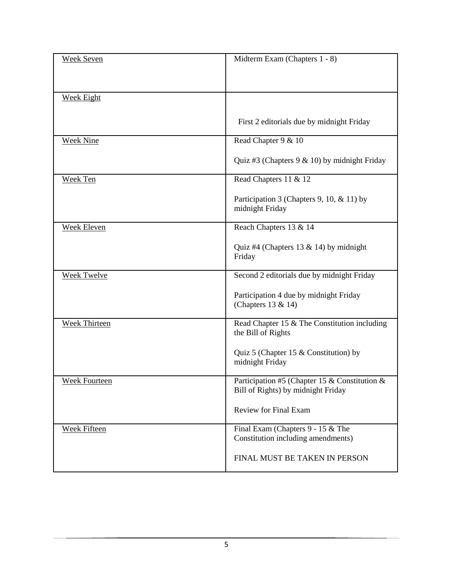| <b>Week Seven</b>    | Midterm Exam (Chapters 1 - 8)                    |
|----------------------|--------------------------------------------------|
|                      |                                                  |
|                      |                                                  |
|                      |                                                  |
| <b>Week Eight</b>    |                                                  |
|                      |                                                  |
|                      | First 2 editorials due by midnight Friday        |
| <b>Week Nine</b>     | Read Chapter 9 & 10                              |
|                      |                                                  |
|                      | Quiz #3 (Chapters $9 < 10$ ) by midnight Friday  |
|                      |                                                  |
| Week Ten             | Read Chapters 11 & 12                            |
|                      | Participation 3 (Chapters 9, 10, & 11) by        |
|                      | midnight Friday                                  |
|                      |                                                  |
| <b>Week Eleven</b>   | Reach Chapters 13 & 14                           |
|                      |                                                  |
|                      | Quiz #4 (Chapters 13 & 14) by midnight<br>Friday |
|                      |                                                  |
| <b>Week Twelve</b>   | Second 2 editorials due by midnight Friday       |
|                      |                                                  |
|                      | Participation 4 due by midnight Friday           |
|                      | (Chapters 13 & 14)                               |
| <b>Week Thirteen</b> | Read Chapter 15 & The Constitution including     |
|                      | the Bill of Rights                               |
|                      |                                                  |
|                      | Quiz 5 (Chapter 15 & Constitution) by            |
|                      | midnight Friday                                  |
| Week Fourteen        | Participation #5 (Chapter 15 & Constitution &    |
|                      | Bill of Rights) by midnight Friday               |
|                      |                                                  |
|                      | <b>Review for Final Exam</b>                     |
| <b>Week Fifteen</b>  | Final Exam (Chapters 9 - 15 & The                |
|                      | Constitution including amendments)               |
|                      |                                                  |
|                      | FINAL MUST BE TAKEN IN PERSON                    |
|                      |                                                  |